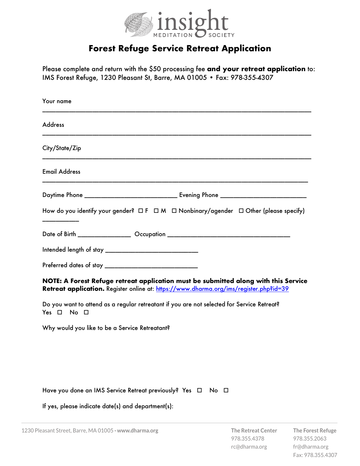

## **Forest Refuge Service Retreat Application**

Please complete and return with the \$50 processing fee **and your retreat application** to: IMS Forest Refuge, 1230 Pleasant St, Barre, MA 01005 • Fax: 978-355-4307

| Your name                                                                                                                                                                     |
|-------------------------------------------------------------------------------------------------------------------------------------------------------------------------------|
| <b>Address</b>                                                                                                                                                                |
| City/State/Zip                                                                                                                                                                |
| <b>Email Address</b>                                                                                                                                                          |
|                                                                                                                                                                               |
| How do you identify your gender? $\Box F \Box M \Box$ Nonbinary/agender $\Box$ Other (please specify)                                                                         |
| Date of Birth ___________________ Occupation ___________________________________                                                                                              |
|                                                                                                                                                                               |
|                                                                                                                                                                               |
| NOTE: A Forest Refuge retreat application must be submitted along with this Service<br>Retreat application. Register online at: https://www.dharma.org/ims/register.php?id=39 |
| Do you want to attend as a regular retreatant if you are not selected for Service Retreat?<br>Yes $\Box$<br>$No$ $\Box$                                                       |
| Why would you like to be a Service Retreatant?                                                                                                                                |
|                                                                                                                                                                               |
|                                                                                                                                                                               |
| Have you done an IMS Service Retreat previously? Yes $\Box$ No $\Box$                                                                                                         |

If yes, please indicate date(s) and department(s):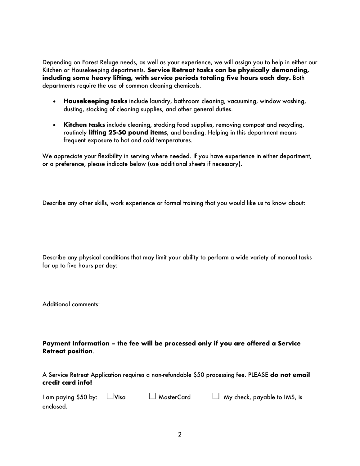Depending on Forest Refuge needs, as well as your experience, we will assign you to help in either our Kitchen or Housekeeping departments. **Service Retreat tasks can be physically demanding, including some heavy lifting, with service periods totaling five hours each day.** Both departments require the use of common cleaning chemicals.

- **Housekeeping tasks** include laundry, bathroom cleaning, vacuuming, window washing, dusting, stocking of cleaning supplies, and other general duties.
- **Kitchen tasks** include cleaning, stocking food supplies, removing compost and recycling, routinely **lifting 25-50 pound items**, and bending. Helping in this department means frequent exposure to hot and cold temperatures.

We appreciate your flexibility in serving where needed. If you have experience in either department, or a preference, please indicate below (use additional sheets if necessary).

Describe any other skills, work experience or formal training that you would like us to know about:

Describe any physical conditions that may limit your ability to perform a wide variety of manual tasks for up to five hours per day:

Additional comments:

**Payment Information – the fee will be processed only if you are offered a Service Retreat position**.

A Service Retreat Application requires a non-refundable \$50 processing fee. PLEASE **do not email credit card info!**

| I am paying \$50 by: $\Box$ Visa | $\Box$ MasterCard | $\Box$ My check, payable to IMS, is |
|----------------------------------|-------------------|-------------------------------------|
| enclosed.                        |                   |                                     |